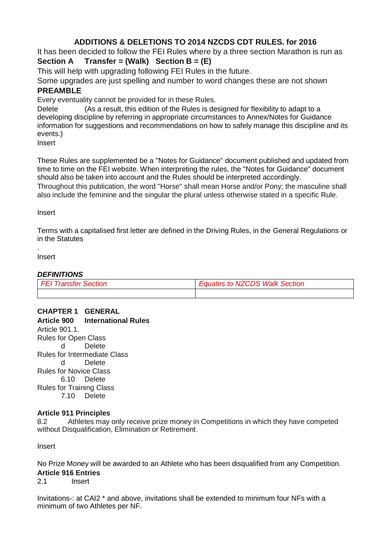### **ADDITIONS & DELETIONS TO 2014 NZCDS CDT RULES. for 2016**

It has been decided to follow the FEI Rules where by a three section Marathon is run as **Section A Transfer = (Walk) Section B = (E)**

This will help with upgrading following FEI Rules in the future.

Some upgrades are just spelling and number to word changes these are not shown **PREAMBLE**

Every eventuality cannot be provided for in these Rules.

Delete (As a result, this edition of the Rules is designed for flexibility to adapt to a developing discipline by referring in appropriate circumstances to Annex/Notes for Guidance information for suggestions and recommendations on how to safely manage this discipline and its events.)

Insert

These Rules are supplemented be a "Notes for Guidance" document published and updated from time to time on the FEI website. When interpreting the rules, the "Notes for Guidance" document should also be taken into account and the Rules should be interpreted accordingly.

Throughout this publication, the word "Horse" shall mean Horse and/or Pony; the masculine shall also include the feminine and the singular the plural unless otherwise stated in a specific Rule.

Insert

Terms with a capitalised first letter are defined in the Driving Rules, in the General Regulations or in the Statutes

Insert

.

#### *DEFINITIONS*

| <b>FFL Franster Section</b> | ates to NZCDS Walk Section. |
|-----------------------------|-----------------------------|
|                             |                             |

# **CHAPTER 1 GENERAL**

**Article 900 International Rules** Article 901.1. Rules for Open Class d Delete Rules for Intermediate Class d Delete Rules for Novice Class 6.10 Delete Rules for Training Class 7.10 Delete

#### **Article 911 Principles**

8.2 Athletes may only receive prize money in Competitions in which they have competed without Disqualification, Elimination or Retirement.

Insert

No Prize Money will be awarded to an Athlete who has been disqualified from any Competition. **Article 916 Entries**

2.1 Insert

Invitations-: at CAI2 \* and above, invitations shall be extended to minimum four NFs with a minimum of two Athletes per NF.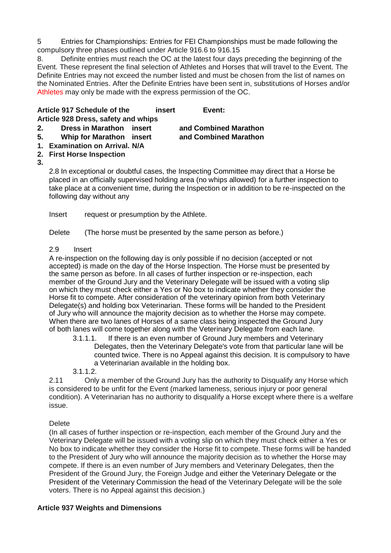5 Entries for Championships: Entries for FEI Championships must be made following the compulsory three phases outlined under Article 916.6 to 916.15

8. Definite entries must reach the OC at the latest four days preceding the beginning of the Event. These represent the final selection of Athletes and Horses that will travel to the Event. The Definite Entries may not exceed the number listed and must be chosen from the list of names on the Nominated Entries. After the Definite Entries have been sent in, substitutions of Horses and/or Athletes may only be made with the express permission of the OC.

|    | Article 917 Schedule of the         | insert | Event:                |  |
|----|-------------------------------------|--------|-----------------------|--|
|    | Article 928 Dress, safety and whips |        |                       |  |
| 2. | Dress in Marathon insert            |        | and Combined Marathon |  |

- **5. Whip for Marathon insert and Combined Marathon**
- **1. Examination on Arrival. N/A**
- **2. First Horse Inspection**
- **3.**

2.8 In exceptional or doubtful cases, the Inspecting Committee may direct that a Horse be placed in an officially supervised holding area (no whips allowed) for a further inspection to take place at a convenient time, during the Inspection or in addition to be re-inspected on the following day without any

Insert request or presumption by the Athlete.

Delete (The horse must be presented by the same person as before.)

#### 2.9 Insert

A re-inspection on the following day is only possible if no decision (accepted or not accepted) is made on the day of the Horse Inspection. The Horse must be presented by the same person as before. In all cases of further inspection or re-inspection, each member of the Ground Jury and the Veterinary Delegate will be issued with a voting slip on which they must check either a Yes or No box to indicate whether they consider the Horse fit to compete. After consideration of the veterinary opinion from both Veterinary Delegate(s) and holding box Veterinarian. These forms will be handed to the President of Jury who will announce the majority decision as to whether the Horse may compete. When there are two lanes of Horses of a same class being inspected the Ground Jury of both lanes will come together along with the Veterinary Delegate from each lane.

3.1.1.1. If there is an even number of Ground Jury members and Veterinary Delegates, then the Veterinary Delegate's vote from that particular lane will be counted twice. There is no Appeal against this decision. It is compulsory to have a Veterinarian available in the holding box.

3.1.1.2.

2.11 Only a member of the Ground Jury has the authority to Disqualify any Horse which is considered to be unfit for the Event (marked lameness, serious injury or poor general condition). A Veterinarian has no authority to disqualify a Horse except where there is a welfare issue.

#### Delete

(In all cases of further inspection or re-inspection, each member of the Ground Jury and the Veterinary Delegate will be issued with a voting slip on which they must check either a Yes or No box to indicate whether they consider the Horse fit to compete. These forms will be handed to the President of Jury who will announce the majority decision as to whether the Horse may compete. If there is an even number of Jury members and Veterinary Delegates, then the President of the Ground Jury, the Foreign Judge and either the Veterinary Delegate or the President of the Veterinary Commission the head of the Veterinary Delegate will be the sole voters. There is no Appeal against this decision.)

#### **Article 937 Weights and Dimensions**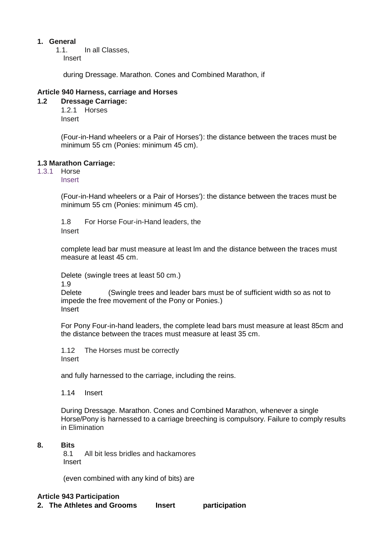#### **1. General**

1.1. In all Classes, Insert

during Dressage. Marathon. Cones and Combined Marathon, if

#### **Article 940 Harness, carriage and Horses**

- **1.2 Dressage Carriage:** 1.2.1 Horses
	- Insert

(Four-in-Hand wheelers or a Pair of Horses'): the distance between the traces must be minimum 55 cm (Ponies: minimum 45 cm).

#### **1.3 Marathon Carriage:**

1.3.1 Horse

Insert

(Four-in-Hand wheelers or a Pair of Horses'): the distance between the traces must be minimum 55 cm (Ponies: minimum 45 cm).

1.8 For Horse Four-in-Hand leaders, the Insert

complete lead bar must measure at least lm and the distance between the traces must measure at least 45 cm.

Delete (swingle trees at least 50 cm.)

1.9

Delete (Swingle trees and leader bars must be of sufficient width so as not to impede the free movement of the Pony or Ponies.) Insert

For Pony Four-in-hand leaders, the complete lead bars must measure at least 85cm and the distance between the traces must measure at least 35 cm.

1.12 The Horses must be correctly Insert

and fully harnessed to the carriage, including the reins.

1.14 Insert

During Dressage. Marathon. Cones and Combined Marathon, whenever a single Horse/Pony is harnessed to a carriage breeching is compulsory. Failure to comply results in Elimination

#### **8. Bits**

8.1 All bit less bridles and hackamores Insert

(even combined with any kind of bits) are

#### **Article 943 Participation**

**2. The Athletes and Grooms Insert participation**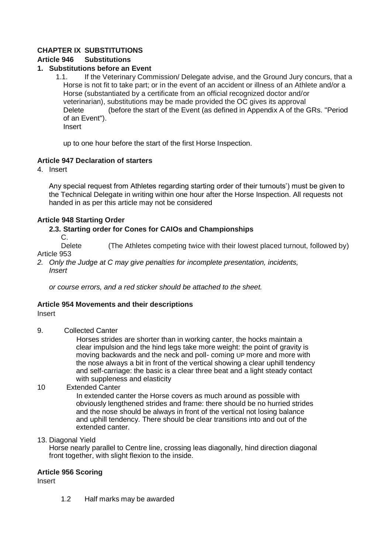#### **CHAPTER IX SUBSTITUTIONS**

#### **Article 946 Substitutions**

#### **1. Substitutions before an Event**

1.1. If the Veterinary Commission/ Delegate advise, and the Ground Jury concurs, that a Horse is not fit to take part; or in the event of an accident or illness of an Athlete and/or a Horse (substantiated by a certificate from an official recognized doctor and/or veterinarian), substitutions may be made provided the OC gives its approval Delete (before the start of the Event (as defined in Appendix A of the GRs. "Period of an Event"). Insert

up to one hour before the start of the first Horse Inspection.

#### **Article 947 Declaration of starters**

4. Insert

Any special request from Athletes regarding starting order of their turnouts') must be given to the Technical Delegate in writing within one hour after the Horse Inspection. All requests not handed in as per this article may not be considered

#### **Article 948 Starting Order**

#### **2.3. Starting order for Cones for CAIOs and Championships**

C.

Delete (The Athletes competing twice with their lowest placed turnout, followed by) Article 953

*2. Only the Judge at C may give penalties for incomplete presentation, incidents, Insert*

*or course errors, and a red sticker should be attached to the sheet.*

#### **Article 954 Movements and their descriptions**

#### Insert

9. Collected Canter

Horses strides are shorter than in working canter, the hocks maintain a clear impulsion and the hind legs take more weight: the point of gravity is moving backwards and the neck and poll- coming UP more and more with the nose always a bit in front of the vertical showing a clear uphill tendency and self-carriage: the basic is a clear three beat and a light steady contact with suppleness and elasticity

#### 10 Extended Canter

In extended canter the Horse covers as much around as possible with obviously lengthened strides and frame: there should be no hurried strides and the nose should be always in front of the vertical not losing balance and uphill tendency. There should be clear transitions into and out of the extended canter.

#### 13. Diagonal Yield

Horse nearly parallel to Centre line, crossing leas diagonally, hind direction diagonal front together, with slight flexion to the inside.

#### **Article 956 Scoring**

Insert

1.2 Half marks may be awarded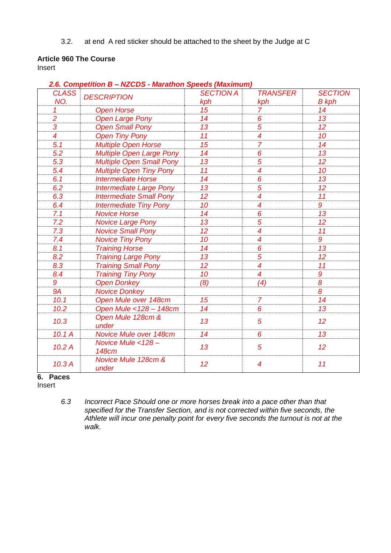3.2. at end A red sticker should be attached to the sheet by the Judge at C

#### **Article 960 The Course**

Insert

| 2.6. Competition B – NZCDS - Marathon Speeds (Maximum) |                                   |                  |                          |                 |
|--------------------------------------------------------|-----------------------------------|------------------|--------------------------|-----------------|
| <b>CLASS</b>                                           | <b>DESCRIPTION</b>                | <b>SECTION A</b> | <b>TRANSFER</b>          | <b>SECTION</b>  |
| NO.                                                    |                                   | kph              | kph                      | <b>B</b> kph    |
| $\mathcal I$                                           | <b>Open Horse</b>                 | 15               | $\overline{7}$           | 14              |
| $\frac{2}{3}$                                          | <b>Open Large Pony</b>            | 14               | $\pmb{6}$                | 13              |
|                                                        | <b>Open Small Pony</b>            | 13               | 5                        | 12 <sup>°</sup> |
| $\overline{4}$                                         | <b>Open Tiny Pony</b>             | 11               | $\overline{4}$           | 10              |
| 5.1                                                    | <b>Multiple Open Horse</b>        | 15               | $\overline{7}$           | 14              |
| 5.2                                                    | <b>Multiple Open Large Pony</b>   | 14               | 6                        | 13              |
| 5.3                                                    | <b>Multiple Open Small Pony</b>   | 13               | $\overline{5}$           | 12 <sup>°</sup> |
| 5.4                                                    | <b>Multiple Open Tiny Pony</b>    | 11               | $\overline{\mathcal{A}}$ | 10              |
| 6.1                                                    | <b>Intermediate Horse</b>         | 14               | 6                        | 13              |
| 6.2                                                    | <b>Intermediate Large Pony</b>    | 13               | $\overline{5}$           | 12 <sup>2</sup> |
| 6.3                                                    | <b>Intermediate Small Pony</b>    | 12 <sup>2</sup>  | $\overline{\mathcal{A}}$ | 11              |
| 6.4                                                    | <b>Intermediate Tiny Pony</b>     | 10               | $\overline{\mathcal{A}}$ | 9               |
| 7.1                                                    | <b>Novice Horse</b>               | 14               | 6                        | 13              |
| 7.2                                                    | <b>Novice Large Pony</b>          | 13               | 5                        | 12 <sup>2</sup> |
| 7.3                                                    | <b>Novice Small Pony</b>          | 12               | $\overline{\mathcal{A}}$ | 11              |
| 7.4                                                    | <b>Novice Tiny Pony</b>           | 10               | $\overline{\mathcal{A}}$ | 9               |
| 8.1                                                    | <b>Training Horse</b>             | 14               | 6                        | 13              |
| 8.2                                                    | <b>Training Large Pony</b>        | 13               | $\overline{5}$           | 12 <sup>2</sup> |
| 8.3                                                    | <b>Training Small Pony</b>        | 12               | $\overline{4}$           | 11              |
| 8.4                                                    | <b>Training Tiny Pony</b>         | 10               | $\overline{4}$           | 9               |
| 9                                                      | <b>Open Donkey</b>                | (8)              | (4)                      | 8               |
| <b>9A</b>                                              | <b>Novice Donkey</b>              |                  |                          | 8               |
| 10.1                                                   | Open Mule over 148cm              | 15               | $\overline{7}$           | 14              |
| 10.2                                                   | Open Mule < 128 - 148cm           | 14               | 6                        | 13              |
| 10.3                                                   | Open Mule 128cm &<br>under        | 13               | $\overline{5}$           | 12              |
| 10.1 A                                                 | Novice Mule over 148cm            | 14               | 6                        | 13              |
| 10.2A                                                  | Novice Mule <128-<br><b>148cm</b> | 13               | $\sqrt{5}$               | 12              |
| 10.3A                                                  | Novice Mule 128cm &<br>under      | 12 <sup>2</sup>  | $\overline{\mathcal{A}}$ | 11              |

# *2.6. Competition B – NZCDS - Marathon Speeds (Maximum)*

**6. Paces**

Insert

*6.3 Incorrect Pace Should one or more horses break into a pace other than that specified for the Transfer Section, and is not corrected within five seconds, the Athlete will incur one penalty point for every five seconds the turnout is not at the walk.*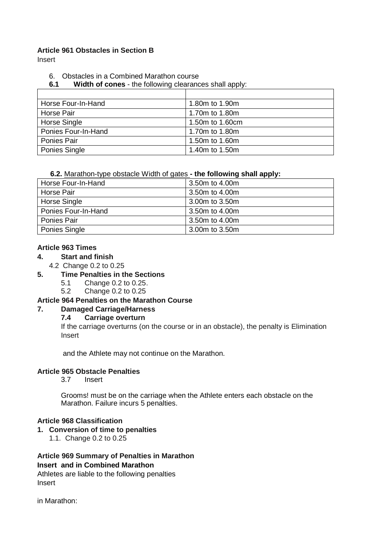#### **Article 961 Obstacles in Section B**

Insert

- 6. Obstacles in a Combined Marathon course
- **6.1 Width of cones**  the following clearances shall apply:

| Horse Four-In-Hand  | 1.80m to 1.90m  |
|---------------------|-----------------|
| Horse Pair          | 1.70m to 1.80m  |
| Horse Single        | 1.50m to 1.60cm |
| Ponies Four-In-Hand | 1.70m to 1.80m  |
| Ponies Pair         | 1.50m to 1.60m  |
| Ponies Single       | 1.40m to 1.50m  |

#### **6.2.** Marathon-type obstacle Width of gates **- the following shall apply:**

| 3.50m to 4.00m |
|----------------|
| 3.50m to 4.00m |
| 3.00m to 3.50m |
| 3.50m to 4.00m |
| 3.50m to 4.00m |
| 3.00m to 3.50m |
|                |

#### **Article 963 Times**

#### **4. Start and finish**

4.2 Change 0.2 to 0.25

#### **5. Time Penalties in the Sections**

- 5.1 Change 0.2 to 0.25.
- 5.2 Change 0.2 to 0.25

#### **Article 964 Penalties on the Marathon Course**

#### **7. Damaged Carriage/Harness**

#### **7.4 Carriage overturn**

If the carriage overturns (on the course or in an obstacle), the penalty is Elimination Insert

and the Athlete may not continue on the Marathon.

#### **Article 965 Obstacle Penalties**

3.7 Insert

Grooms! must be on the carriage when the Athlete enters each obstacle on the Marathon. Failure incurs 5 penalties.

#### **Article 968 Classification**

- **1. Conversion of time to penalties**
	- 1.1. Change 0.2 to 0.25

#### **Article 969 Summary of Penalties in Marathon Insert and in Combined Marathon**

Athletes are liable to the following penalties Insert

in Marathon: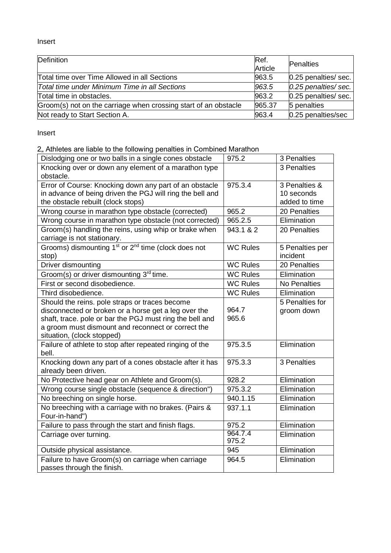Insert

| Definition                                                      | Ref.    | <b>Penalties</b>      |
|-----------------------------------------------------------------|---------|-----------------------|
|                                                                 | Article |                       |
| Total time over Time Allowed in all Sections                    | 963.5   | 0.25 penalties/ sec.  |
| Total time under Minimum Time in all Sections                   | 963.5   | $0.25$ penalties/sec. |
| Total time in obstacles.                                        | 963.2   | 0.25 penalties/ sec.  |
| Groom(s) not on the carriage when crossing start of an obstacle | 965.37  | 5 penalties           |
| Not ready to Start Section A.                                   | 963.4   | 0.25 penalties/sec    |

Insert

2, Athletes are liable to the following penalties in Combined Marathon

| Dislodging one or two balls in a single cones obstacle                      | 975.2            | 3 Penalties     |
|-----------------------------------------------------------------------------|------------------|-----------------|
| Knocking over or down any element of a marathon type                        |                  | 3 Penalties     |
| obstacle.                                                                   |                  |                 |
| Error of Course: Knocking down any part of an obstacle                      | 975.3.4          | 3 Penalties &   |
| in advance of being driven the PGJ will ring the bell and                   |                  | 10 seconds      |
| the obstacle rebuilt (clock stops)                                          |                  | added to time   |
| Wrong course in marathon type obstacle (corrected)                          | 965.2            | 20 Penalties    |
| Wrong course in marathon type obstacle (not corrected)                      | 965.2.5          | Elimination     |
| Groom(s) handling the reins, using whip or brake when                       | 943.1 & 2        | 20 Penalties    |
| carriage is not stationary.                                                 |                  |                 |
| Grooms) dismounting 1 <sup>st</sup> or 2 <sup>nd</sup> time (clock does not | <b>WC Rules</b>  | 5 Penalties per |
| stop)                                                                       |                  | incident        |
| Driver dismounting                                                          | <b>WC Rules</b>  | 20 Penalties    |
| Groom(s) or driver dismounting 3rd time.                                    | <b>WC Rules</b>  | Elimination     |
| First or second disobedience.                                               | <b>WC Rules</b>  | No Penalties    |
| Third disobedience.                                                         | <b>WC Rules</b>  | Elimination     |
| Should the reins. pole straps or traces become                              |                  | 5 Penalties for |
| disconnected or broken or a horse get a leg over the                        | 964.7            | groom down      |
| shaft, trace. pole or bar the PGJ must ring the bell and                    | 965.6            |                 |
| a groom must dismount and reconnect or correct the                          |                  |                 |
| situation, (clock stopped)                                                  |                  |                 |
| Failure of athlete to stop after repeated ringing of the                    | 975.3.5          | Elimination     |
| bell.                                                                       |                  |                 |
| Knocking down any part of a cones obstacle after it has                     | 975.3.3          | 3 Penalties     |
| already been driven.                                                        |                  |                 |
| No Protective head gear on Athlete and Groom(s).                            | 928.2            | Elimination     |
| Wrong course single obstacle (sequence & direction")                        | 975.3.2          | Elimination     |
| No breeching on single horse.                                               | 940.1.15         | Elimination     |
| No breeching with a carriage with no brakes. (Pairs &                       | 937.1.1          | Elimination     |
| Four-in-hand")                                                              |                  |                 |
| Failure to pass through the start and finish flags.                         | 975.2            | Elimination     |
| Carriage over turning.                                                      | 964.7.4<br>975.2 | Elimination     |
| Outside physical assistance.                                                | 945              | Elimination     |
| Failure to have Groom(s) on carriage when carriage                          | 964.5            | Elimination     |
| passes through the finish.                                                  |                  |                 |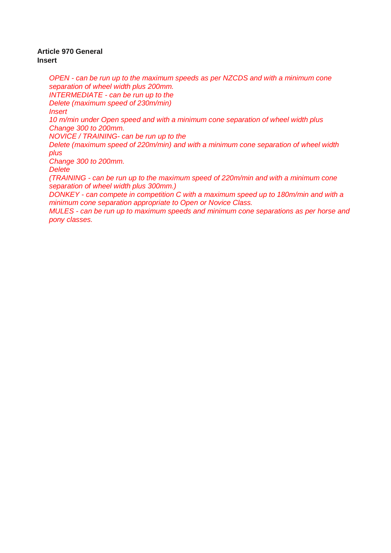#### **Article 970 General Insert**

*OPEN - can be run up to the maximum speeds as per NZCDS and with a minimum cone separation of wheel width plus 200mm. INTERMEDIATE - can be run up to the Delete (maximum speed of 230m/min) Insert 10 m/min under Open speed and with a minimum cone separation of wheel width plus Change 300 to 200mm. NOVICE / TRAINING- can be run up to the Delete (maximum speed of 220m/min) and with a minimum cone separation of wheel width plus Change 300 to 200mm. Delete (TRAINING - can be run up to the maximum speed of 220m/min and with a minimum cone separation of wheel width plus 300mm.) DONKEY - can compete in competition C with a maximum speed up to 180m/min and with a minimum cone separation appropriate to Open or Novice Class. MULES - can be run up to maximum speeds and minimum cone separations as per horse and pony classes.*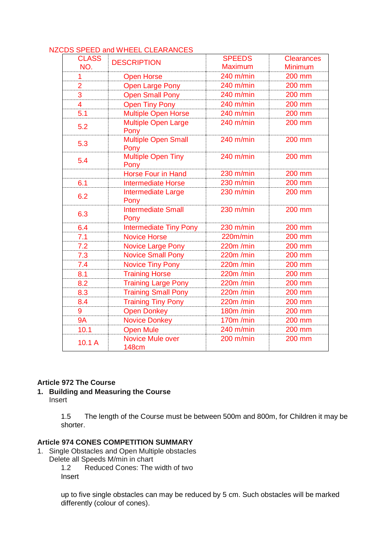|                     | סטטאזויגוי נכבר סבבו זו או הוא שכם הכ   |                          |                              |
|---------------------|-----------------------------------------|--------------------------|------------------------------|
| <b>CLASS</b><br>NO. | <b>DESCRIPTION</b>                      | <b>SPEEDS</b><br>Maximum | <b>Clearances</b><br>Minimum |
| 1                   | <b>Open Horse</b>                       | 240 m/min                | 200 mm                       |
| $\overline{2}$      | <b>Open Large Pony</b>                  | 240 m/min                | 200 mm                       |
| 3                   | <b>Open Small Pony</b>                  | 240 m/min                | 200 mm                       |
| 4                   | <b>Open Tiny Pony</b>                   | 240 m/min                | 200 mm                       |
| 5.1                 | <b>Multiple Open Horse</b>              | 240 m/min                | 200 mm                       |
| 5.2                 | <b>Multiple Open Large</b><br>Pony      | 240 m/min                | 200 mm                       |
| 5.3                 | Multiple Open Small<br>Pony             | 240 m/min                | 200 mm                       |
| 5.4                 | <b>Multiple Open Tiny</b><br>Pony       | $240$ m/min              | 200 mm                       |
|                     | <b>Horse Four in Hand</b>               | $230$ m/min              | 200 mm                       |
| 6.1                 | <b>Intermediate Horse</b>               | 230 m/min                | 200 mm                       |
| 6.2                 | Intermediate Large<br>Pony              | 230 m/min                | 200 mm                       |
| 6.3                 | <b>Intermediate Small</b><br>Pony       | 230 m/min                | 200 mm                       |
| 6.4                 | <b>Intermediate Tiny Pony</b>           | 230 m/min                | 200 mm                       |
| 7.1                 | <b>Novice Horse</b>                     | 220m/min                 | 200 mm                       |
| 7.2                 | <b>Novice Large Pony</b>                | $220m$ /min              | 200 mm                       |
| 7.3                 | <b>Novice Small Pony</b>                | 220m /min                | 200 mm                       |
| 7.4                 | <b>Novice Tiny Pony</b>                 | 220m /min                | 200 mm                       |
| 8.1                 | <b>Training Horse</b>                   | 220m /min                | 200 mm                       |
| 8.2                 | <b>Training Large Pony</b>              | 220m /min                | 200 mm                       |
| 8.3                 | <b>Training Small Pony</b>              | $220m$ /min              | 200 mm                       |
| 8.4                 | <b>Training Tiny Pony</b>               | 220m /min                | 200 mm                       |
| 9                   | <b>Open Donkey</b>                      | 180m /min                | 200 mm                       |
| <b>9A</b>           | <b>Novice Donkey</b>                    | 170m/min                 | 200 mm                       |
| 10.1                | <b>Open Mule</b>                        | 240 m/min                | 200 mm                       |
| 10.1A               | <b>Novice Mule over</b><br><b>148cm</b> | 200 m/min                | 200 mm                       |

#### NZCDS SPEED and WHEEL CLEARANCES

#### **Article 972 The Course**

**1. Building and Measuring the Course** Insert

> 1.5 The length of the Course must be between 500m and 800m, for Children it may be shorter.

#### **Article 974 CONES COMPETITION SUMMARY**

- 1. Single Obstacles and Open Multiple obstacles
	- Delete all Speeds M/min in chart

1.2 Reduced Cones: The width of two Insert

up to five single obstacles can may be reduced by 5 cm. Such obstacles will be marked differently (colour of cones).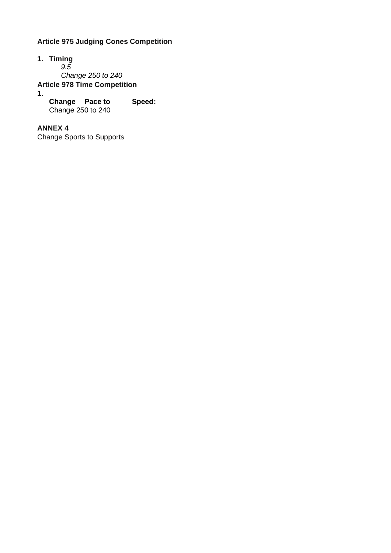### **Article 975 Judging Cones Competition**

- **1. Timing** *9.5 Change 250 to 240* **Article 978 Time Competition 1.**
	- **Change Pace to Speed:** Change 250 to 240

**ANNEX 4**

Change Sports to Supports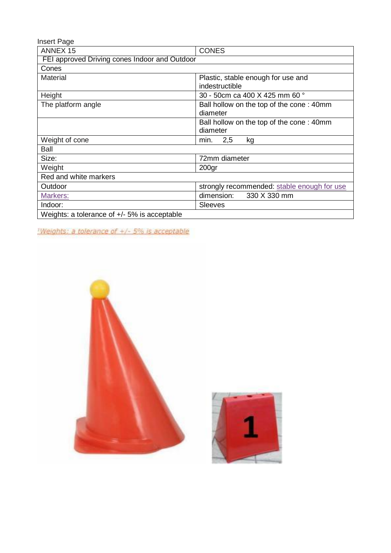| Insert Page                                    |                                             |  |  |
|------------------------------------------------|---------------------------------------------|--|--|
| <b>ANNEX 15</b>                                | <b>CONES</b>                                |  |  |
| FEI approved Driving cones Indoor and Outdoor  |                                             |  |  |
| Cones                                          |                                             |  |  |
| <b>Material</b>                                | Plastic, stable enough for use and          |  |  |
|                                                | indestructible                              |  |  |
| Height                                         | 30 - 50cm ca 400 X 425 mm 60 °              |  |  |
| The platform angle                             | Ball hollow on the top of the cone: 40mm    |  |  |
|                                                | diameter                                    |  |  |
|                                                | Ball hollow on the top of the cone: 40mm    |  |  |
|                                                | diameter                                    |  |  |
| Weight of cone                                 | 2,5<br>min.<br>kg                           |  |  |
| Ball                                           |                                             |  |  |
| Size:                                          | 72mm diameter                               |  |  |
| Weight                                         | 200 <sub>gr</sub>                           |  |  |
| Red and white markers                          |                                             |  |  |
| Outdoor                                        | strongly recommended: stable enough for use |  |  |
| Markers:                                       | dimension:<br>330 X 330 mm                  |  |  |
| Indoor:                                        | <b>Sleeves</b>                              |  |  |
| Weights: a tolerance of $+/-$ 5% is acceptable |                                             |  |  |

Weights: a tolerance of +/- 5% is acceptable



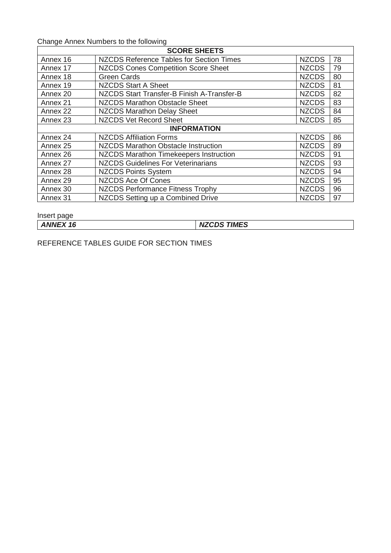Change Annex Numbers to the following

| <b>SCORE SHEETS</b> |                                            |              |    |
|---------------------|--------------------------------------------|--------------|----|
| Annex 16            | NZCDS Reference Tables for Section Times   | <b>NZCDS</b> | 78 |
| Annex 17            | <b>NZCDS Cones Competition Score Sheet</b> | <b>NZCDS</b> | 79 |
| Annex 18            | <b>Green Cards</b>                         | <b>NZCDS</b> | 80 |
| Annex 19            | <b>NZCDS Start A Sheet</b>                 | <b>NZCDS</b> | 81 |
| Annex 20            | NZCDS Start Transfer-B Finish A-Transfer-B | <b>NZCDS</b> | 82 |
| Annex 21            | <b>NZCDS Marathon Obstacle Sheet</b>       | <b>NZCDS</b> | 83 |
| Annex 22            | <b>NZCDS Marathon Delay Sheet</b>          | <b>NZCDS</b> | 84 |
| Annex 23            | <b>NZCDS Vet Record Sheet</b>              | <b>NZCDS</b> | 85 |
| <b>INFORMATION</b>  |                                            |              |    |
| Annex 24            | <b>NZCDS Affiliation Forms</b>             | <b>NZCDS</b> | 86 |
| Annex <sub>25</sub> | <b>NZCDS Marathon Obstacle Instruction</b> | <b>NZCDS</b> | 89 |
| Annex 26            | NZCDS Marathon Timekeepers Instruction     | <b>NZCDS</b> | 91 |
| Annex 27            | <b>NZCDS Guidelines For Veterinarians</b>  | <b>NZCDS</b> | 93 |
| Annex 28            | <b>NZCDS Points System</b>                 | <b>NZCDS</b> | 94 |
| Annex 29            | <b>NZCDS Ace Of Cones</b>                  | <b>NZCDS</b> | 95 |
| Annex 30            | <b>NZCDS Performance Fitness Trophy</b>    | <b>NZCDS</b> | 96 |
| Annex 31            | NZCDS Setting up a Combined Drive          | <b>NZCDS</b> | 97 |

Insert page

*ANNEX 16 NZCDS TIMES*

REFERENCE TABLES GUIDE FOR SECTION TIMES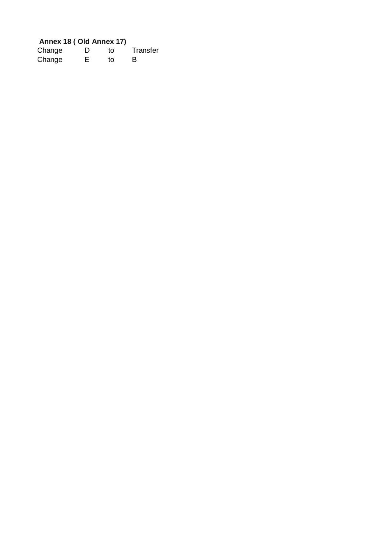## **Annex 18 ( Old Annex 17)**

| Change | D | t٥ | Transfer |
|--------|---|----|----------|
| Change | Е | tο | B        |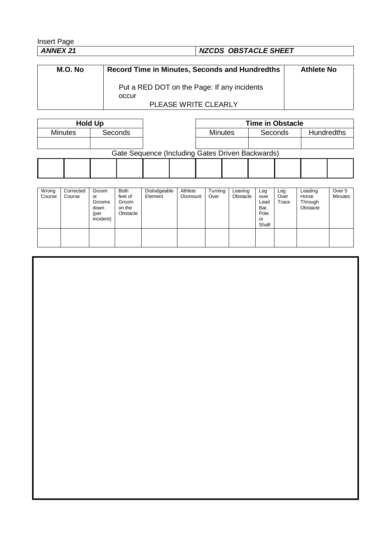# Insert Page<br>ANNEX 21

# *ANNEX 21 NZCDS OBSTACLE SHEET*

| M.O. No | <b>Record Time in Minutes, Seconds and Hundredths</b> | <b>Athlete No</b> |
|---------|-------------------------------------------------------|-------------------|
|         | Put a RED DOT on the Page: If any incidents           |                   |
|         | occur                                                 |                   |
|         | <b>PLEASE WRITE CLEARLY</b>                           |                   |

| <b>Hold Up</b>                                   |         |  | <b>Time in Obstacle</b> |  |                |         |  |                   |  |  |
|--------------------------------------------------|---------|--|-------------------------|--|----------------|---------|--|-------------------|--|--|
| <b>Minutes</b>                                   | Seconds |  |                         |  | <b>Minutes</b> | Seconds |  | <b>Hundredths</b> |  |  |
|                                                  |         |  |                         |  |                |         |  |                   |  |  |
| Gate Sequence (Including Gates Driven Backwards) |         |  |                         |  |                |         |  |                   |  |  |
|                                                  |         |  |                         |  |                |         |  |                   |  |  |
|                                                  |         |  |                         |  |                |         |  |                   |  |  |

| Wrong<br>Course | Corrected<br>Course | Groom<br>or<br>Grooms<br>down<br>(per<br>incident) | <b>Both</b><br>feet of<br>Groom<br>on the<br>Obstacle | Dislodgeable<br>Element | Athlete<br><b>Dismount</b> | Turning<br>Over | Leaving<br>Obstacle | Leg<br>over<br>Lead<br>Bar,<br>Pole<br>or<br>Shaft | Leg<br>Over<br>Trace | Leading<br>Horse<br>Through<br>Obstacle | Over 5<br>Minutes |
|-----------------|---------------------|----------------------------------------------------|-------------------------------------------------------|-------------------------|----------------------------|-----------------|---------------------|----------------------------------------------------|----------------------|-----------------------------------------|-------------------|
|                 |                     |                                                    |                                                       |                         |                            |                 |                     |                                                    |                      |                                         |                   |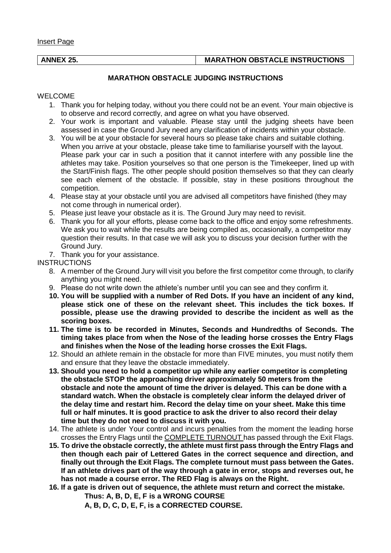Insert Page

#### **ANNEX 25. MARATHON OBSTACLE INSTRUCTIONS**

#### **MARATHON OBSTACLE JUDGING INSTRUCTIONS**

#### WELCOME

- 1. Thank you for helping today, without you there could not be an event. Your main objective is to observe and record correctly, and agree on what you have observed.
- 2. Your work is important and valuable. Please stay until the judging sheets have been assessed in case the Ground Jury need any clarification of incidents within your obstacle.
- 3. You will be at your obstacle for several hours so please take chairs and suitable clothing. When you arrive at your obstacle, please take time to familiarise yourself with the layout. Please park your car in such a position that it cannot interfere with any possible line the athletes may take. Position yourselves so that one person is the Timekeeper, lined up with the Start/Finish flags. The other people should position themselves so that they can clearly see each element of the obstacle. If possible, stay in these positions throughout the competition.
- 4. Please stay at your obstacle until you are advised all competitors have finished (they may not come through in numerical order).
- 5. Please just leave your obstacle as it is. The Ground Jury may need to revisit.
- 6. Thank you for all your efforts, please come back to the office and enjoy some refreshments. We ask you to wait while the results are being compiled as, occasionally, a competitor may question their results. In that case we will ask you to discuss your decision further with the Ground Jury.
- 7. Thank you for your assistance.

**INSTRUCTIONS** 

- 8. A member of the Ground Jury will visit you before the first competitor come through, to clarify anything you might need.
- 9. Please do not write down the athlete's number until you can see and they confirm it.
- **10. You will be supplied with a number of Red Dots. If you have an incident of any kind, please stick one of these on the relevant sheet. This includes the tick boxes. If possible, please use the drawing provided to describe the incident as well as the scoring boxes.**
- **11. The time is to be recorded in Minutes, Seconds and Hundredths of Seconds. The timing takes place from when the Nose of the leading horse crosses the Entry Flags and finishes when the Nose of the leading horse crosses the Exit Flags.**
- 12. Should an athlete remain in the obstacle for more than FIVE minutes, you must notify them and ensure that they leave the obstacle immediately.
- **13. Should you need to hold a competitor up while any earlier competitor is completing the obstacle STOP the approaching driver approximately 50 meters from the obstacle and note the amount of time the driver is delayed. This can be done with a standard watch. When the obstacle is completely clear inform the delayed driver of the delay time and restart him. Record the delay time on your sheet. Make this time full or half minutes. It is good practice to ask the driver to also record their delay time but they do not need to discuss it with you.**
- 14. The athlete is under Your control and incurs penalties from the moment the leading horse crosses the Entry Flags until the COMPLETE TURNOUT has passed through the Exit Flags.
- **15. To drive the obstacle correctly, the athlete must first pass through the Entry Flags and then though each pair of Lettered Gates in the correct sequence and direction, and finally out through the Exit Flags. The complete turnout must pass between the Gates. If an athlete drives part of the way through a gate in error, stops and reverses out, he has not made a course error. The RED Flag is always on the Right.**
- **16. If a gate is driven out of sequence, the athlete must return and correct the mistake. Thus: A, B, D, E, F is a WRONG COURSE**

**A, B, D, C, D, E, F, is a CORRECTED COURSE.**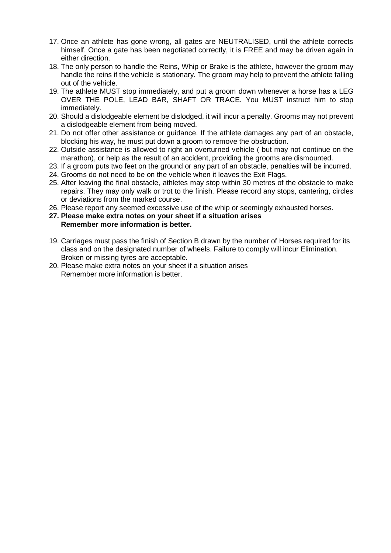- 17. Once an athlete has gone wrong, all gates are NEUTRALISED, until the athlete corrects himself. Once a gate has been negotiated correctly, it is FREE and may be driven again in either direction.
- 18. The only person to handle the Reins, Whip or Brake is the athlete, however the groom may handle the reins if the vehicle is stationary. The groom may help to prevent the athlete falling out of the vehicle.
- 19. The athlete MUST stop immediately, and put a groom down whenever a horse has a LEG OVER THE POLE, LEAD BAR, SHAFT OR TRACE. You MUST instruct him to stop immediately.
- 20. Should a dislodgeable element be dislodged, it will incur a penalty. Grooms may not prevent a dislodgeable element from being moved.
- 21. Do not offer other assistance or guidance. If the athlete damages any part of an obstacle, blocking his way, he must put down a groom to remove the obstruction.
- 22. Outside assistance is allowed to right an overturned vehicle ( but may not continue on the marathon), or help as the result of an accident, providing the grooms are dismounted.
- 23. If a groom puts two feet on the ground or any part of an obstacle, penalties will be incurred.
- 24. Grooms do not need to be on the vehicle when it leaves the Exit Flags.
- 25. After leaving the final obstacle, athletes may stop within 30 metres of the obstacle to make repairs. They may only walk or trot to the finish. Please record any stops, cantering, circles or deviations from the marked course.
- 26. Please report any seemed excessive use of the whip or seemingly exhausted horses.
- **27. Please make extra notes on your sheet if a situation arises Remember more information is better.**
- 19. Carriages must pass the finish of Section B drawn by the number of Horses required for its class and on the designated number of wheels. Failure to comply will incur Elimination. Broken or missing tyres are acceptable.
- 20. Please make extra notes on your sheet if a situation arises Remember more information is better.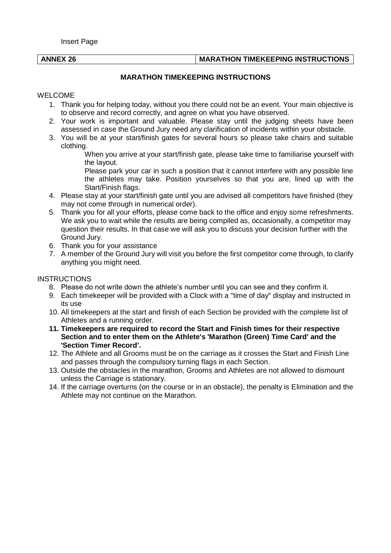#### **ANNEX 26 MARATHON TIMEKEEPING INSTRUCTIONS**

#### **MARATHON TIMEKEEPING INSTRUCTIONS**

#### WELCOME

- 1. Thank you for helping today, without you there could not be an event. Your main objective is to observe and record correctly, and agree on what you have observed.
- 2. Your work is important and valuable. Please stay until the judging sheets have been assessed in case the Ground Jury need any clarification of incidents within your obstacle.
- 3. You will be at your start/finish gates for several hours so please take chairs and suitable clothing.
	- When you arrive at your start/finish gate, please take time to familiarise yourself with the layout.
	- Please park your car in such a position that it cannot interfere with any possible line the athletes may take. Position yourselves so that you are, lined up with the Start/Finish flags.
- 4. Please stay at your start/finish gate until you are advised all competitors have finished (they may not come through in numerical order).
- 5. Thank you for all your efforts, please come back to the office and enjoy some refreshments. We ask you to wait while the results are being compiled as, occasionally, a competitor may question their results. In that case we will ask you to discuss your decision further with the Ground Jury.
- 6. Thank you for your assistance
- 7. A member of the Ground Jury will visit you before the first competitor come through, to clarify anything you might need.

#### **INSTRUCTIONS**

- 8. Please do not write down the athlete's number until you can see and they confirm it.
- 9. Each timekeeper will be provided with a Clock with a "time of day" display and instructed in its use
- 10. All timekeepers at the start and finish of each Section be provided with the complete list of Athletes and a running order.
- **11. Timekeepers are required to record the Start and Finish times for their respective Section and to enter them on the Athlete's 'Marathon (Green) Time Card' and the 'Section Timer Record'.**
- 12. The Athlete and all Grooms must be on the carriage as it crosses the Start and Finish Line and passes through the compulsory turning flags in each Section.
- 13. Outside the obstacles in the marathon, Grooms and Athletes are not allowed to dismount unless the Carriage is stationary.
- 14. If the carriage overturns (on the course or in an obstacle), the penalty is Elimination and the Athlete may not continue on the Marathon.